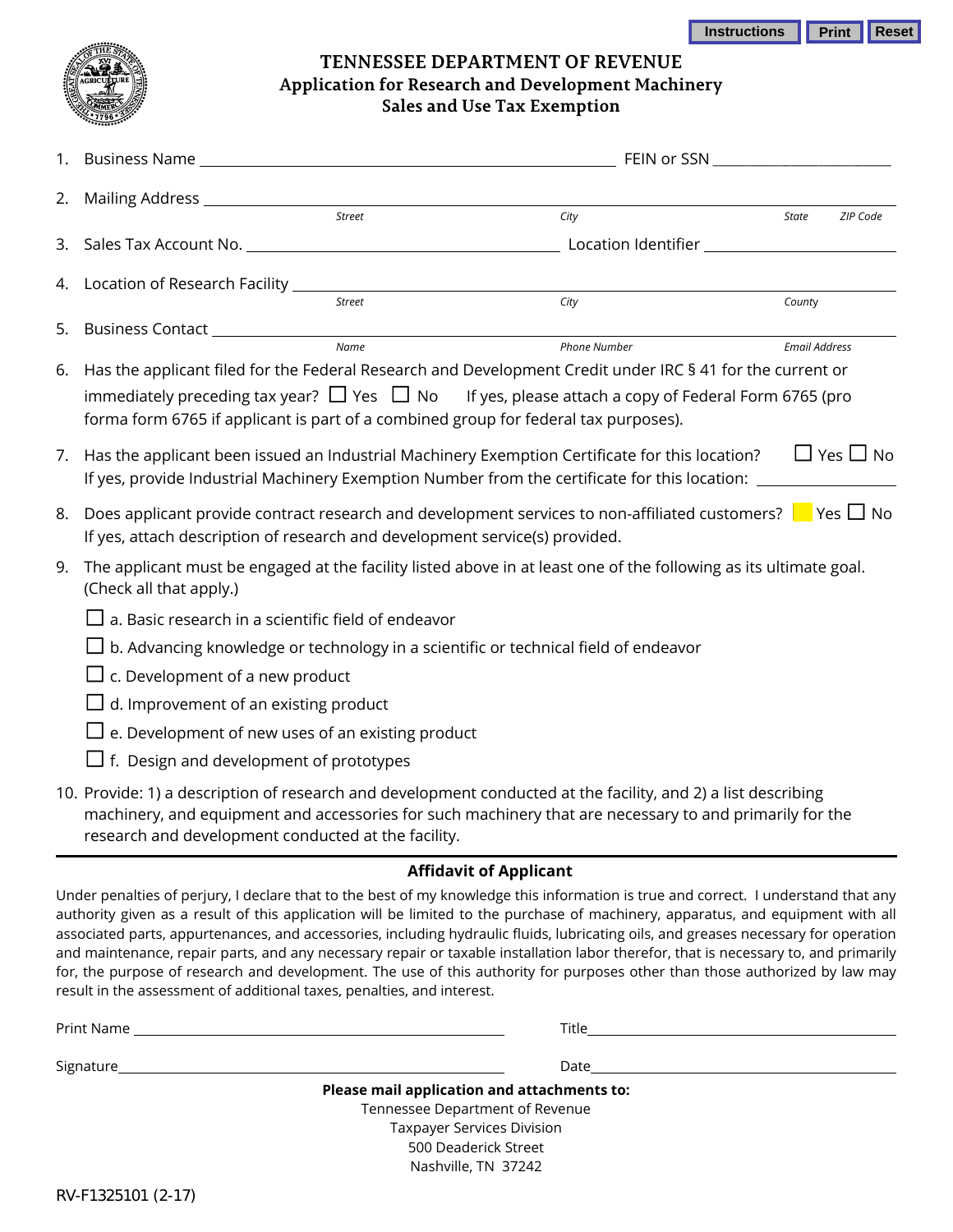| Instructions | <b>Print Reset</b> |  |
|--------------|--------------------|--|
|--------------|--------------------|--|



## **TENNESSEE DEPARTMENT OF REVENUE Application for Research and Development Machinery Sales and Use Tax Exemption**

| 2. |                                                                                                                                              |                                                                                                                                                                                                                          |                      |                      |  |  |
|----|----------------------------------------------------------------------------------------------------------------------------------------------|--------------------------------------------------------------------------------------------------------------------------------------------------------------------------------------------------------------------------|----------------------|----------------------|--|--|
|    | Street                                                                                                                                       | City                                                                                                                                                                                                                     | State                | ZIP Code             |  |  |
|    |                                                                                                                                              | 3. Sales Tax Account No. 2008 and 2009 and 2009 and 2009 and 2009 and 2009 and 2009 and 2009 and 2009 and 2009                                                                                                           |                      |                      |  |  |
|    | 4. Location of Research Facility __________                                                                                                  |                                                                                                                                                                                                                          |                      |                      |  |  |
|    | <b>Street</b>                                                                                                                                | City                                                                                                                                                                                                                     | County               |                      |  |  |
| 5. | Business Contact ____________________                                                                                                        |                                                                                                                                                                                                                          |                      |                      |  |  |
|    | <b>Name</b>                                                                                                                                  | <b>Phone Number</b>                                                                                                                                                                                                      | <b>Email Address</b> |                      |  |  |
| 6. | forma form 6765 if applicant is part of a combined group for federal tax purposes).                                                          | Has the applicant filed for the Federal Research and Development Credit under IRC § 41 for the current or<br>immediately preceding tax year? $\Box$ Yes $\Box$ No If yes, please attach a copy of Federal Form 6765 (pro |                      |                      |  |  |
| 7. |                                                                                                                                              | Has the applicant been issued an Industrial Machinery Exemption Certificate for this location?<br>If yes, provide Industrial Machinery Exemption Number from the certificate for this location:                          |                      | $\Box$ Yes $\Box$ No |  |  |
| 8. | If yes, attach description of research and development service(s) provided.                                                                  | Does applicant provide contract research and development services to non-affiliated customers? $\Box$ Yes $\Box$ No                                                                                                      |                      |                      |  |  |
| 9. | The applicant must be engaged at the facility listed above in at least one of the following as its ultimate goal.<br>(Check all that apply.) |                                                                                                                                                                                                                          |                      |                      |  |  |
|    | $\Box$ a. Basic research in a scientific field of endeavor                                                                                   |                                                                                                                                                                                                                          |                      |                      |  |  |
|    | $\Box$ b. Advancing knowledge or technology in a scientific or technical field of endeavor                                                   |                                                                                                                                                                                                                          |                      |                      |  |  |
|    | $\Box$ c. Development of a new product                                                                                                       |                                                                                                                                                                                                                          |                      |                      |  |  |
|    | $\Box$ d. Improvement of an existing product                                                                                                 |                                                                                                                                                                                                                          |                      |                      |  |  |
|    | $\Box$ e. Development of new uses of an existing product                                                                                     |                                                                                                                                                                                                                          |                      |                      |  |  |
|    | $\Box$ f. Design and development of prototypes                                                                                               |                                                                                                                                                                                                                          |                      |                      |  |  |
|    | research and development conducted at the facility.                                                                                          | 10. Provide: 1) a description of research and development conducted at the facility, and 2) a list describing<br>machinery, and equipment and accessories for such machinery that are necessary to and primarily for the |                      |                      |  |  |

## **Affidavit of Applicant**

Under penalties of perjury, I declare that to the best of my knowledge this information is true and correct. I understand that any authority given as a result of this application will be limited to the purchase of machinery, apparatus, and equipment with all associated parts, appurtenances, and accessories, including hydraulic fluids, lubricating oils, and greases necessary for operation and maintenance, repair parts, and any necessary repair or taxable installation labor therefor, that is necessary to, and primarily for, the purpose of research and development. The use of this authority for purposes other than those authorized by law may result in the assessment of additional taxes, penalties, and interest.

| <b>Title Security Construction Construction</b>                                                                                                                                                                                |  |
|--------------------------------------------------------------------------------------------------------------------------------------------------------------------------------------------------------------------------------|--|
| Date and the contract of the contract of the contract of the contract of the contract of the contract of the contract of the contract of the contract of the contract of the contract of the contract of the contract of the c |  |
| Please mail application and attachments to:                                                                                                                                                                                    |  |
| Tennessee Department of Revenue                                                                                                                                                                                                |  |
| <b>Taxpayer Services Division</b>                                                                                                                                                                                              |  |
| 500 Deaderick Street                                                                                                                                                                                                           |  |
| Nashville, TN 37242                                                                                                                                                                                                            |  |